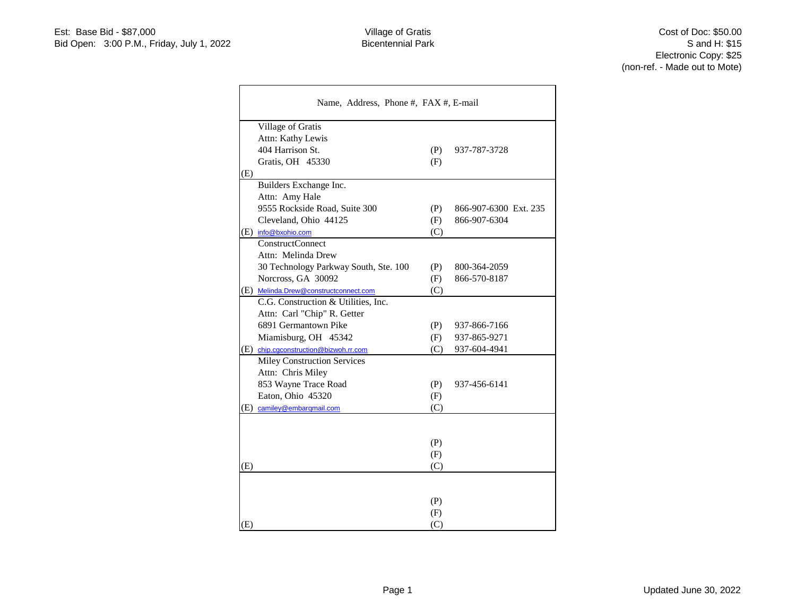| (P)<br>(F) | 937-787-3728          |
|------------|-----------------------|
|            |                       |
|            |                       |
|            |                       |
|            |                       |
|            |                       |
|            |                       |
|            |                       |
| (P)        | 866-907-6300 Ext. 235 |
| (F)        | 866-907-6304          |
| (C)        |                       |
|            |                       |
|            |                       |
| (P)        | 800-364-2059          |
| (F)        | 866-570-8187          |
| (C)        |                       |
|            |                       |
|            |                       |
| (P)        | 937-866-7166          |
| (F)        | 937-865-9271          |
| (C)        | 937-604-4941          |
|            |                       |
|            |                       |
| (P)        | 937-456-6141          |
| (F)        |                       |
| (C)        |                       |
|            |                       |